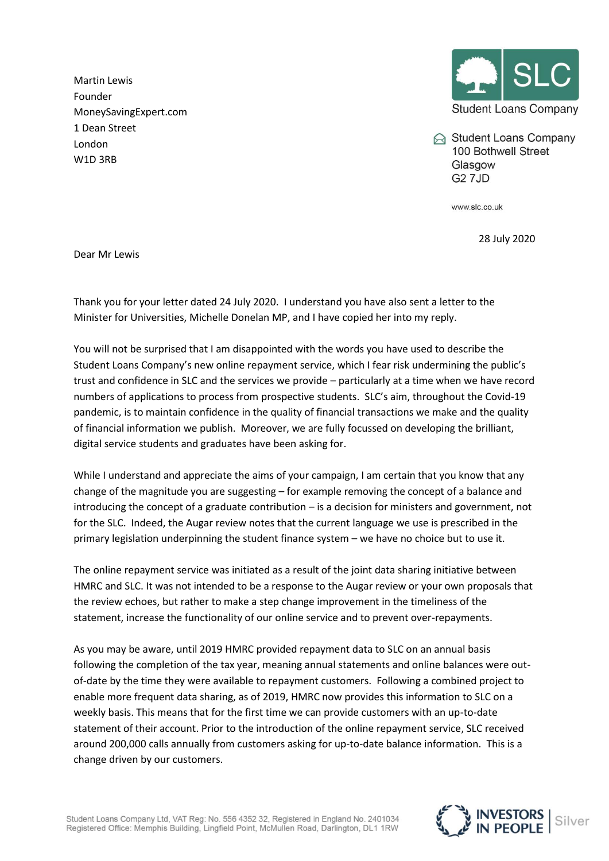Martin Lewis Founder MoneySavingExpert.com 1 Dean Street London W1D 3RB



Student Loans Company 100 Bothwell Street Glasgow **G2 7JD** 

www.slc.co.uk

28 July 2020

Dear Mr Lewis

Thank you for your letter dated 24 July 2020. I understand you have also sent a letter to the Minister for Universities, Michelle Donelan MP, and I have copied her into my reply.

You will not be surprised that I am disappointed with the words you have used to describe the Student Loans Company's new online repayment service, which I fear risk undermining the public's trust and confidence in SLC and the services we provide – particularly at a time when we have record numbers of applications to process from prospective students. SLC's aim, throughout the Covid-19 pandemic, is to maintain confidence in the quality of financial transactions we make and the quality of financial information we publish. Moreover, we are fully focussed on developing the brilliant, digital service students and graduates have been asking for.

While I understand and appreciate the aims of your campaign, I am certain that you know that any change of the magnitude you are suggesting – for example removing the concept of a balance and introducing the concept of a graduate contribution – is a decision for ministers and government, not for the SLC. Indeed, the Augar review notes that the current language we use is prescribed in the primary legislation underpinning the student finance system – we have no choice but to use it.

The online repayment service was initiated as a result of the joint data sharing initiative between HMRC and SLC. It was not intended to be a response to the Augar review or your own proposals that the review echoes, but rather to make a step change improvement in the timeliness of the statement, increase the functionality of our online service and to prevent over-repayments.

As you may be aware, until 2019 HMRC provided repayment data to SLC on an annual basis following the completion of the tax year, meaning annual statements and online balances were outof-date by the time they were available to repayment customers. Following a combined project to enable more frequent data sharing, as of 2019, HMRC now provides this information to SLC on a weekly basis. This means that for the first time we can provide customers with an up-to-date statement of their account. Prior to the introduction of the online repayment service, SLC received around 200,000 calls annually from customers asking for up-to-date balance information. This is a change driven by our customers.

Student Loans Company Ltd, VAT Reg: No. 556 4352 32, Registered in England No. 2401034 Registered Office: Memphis Building, Lingfield Point, McMullen Road, Darlington, DL1 1RW

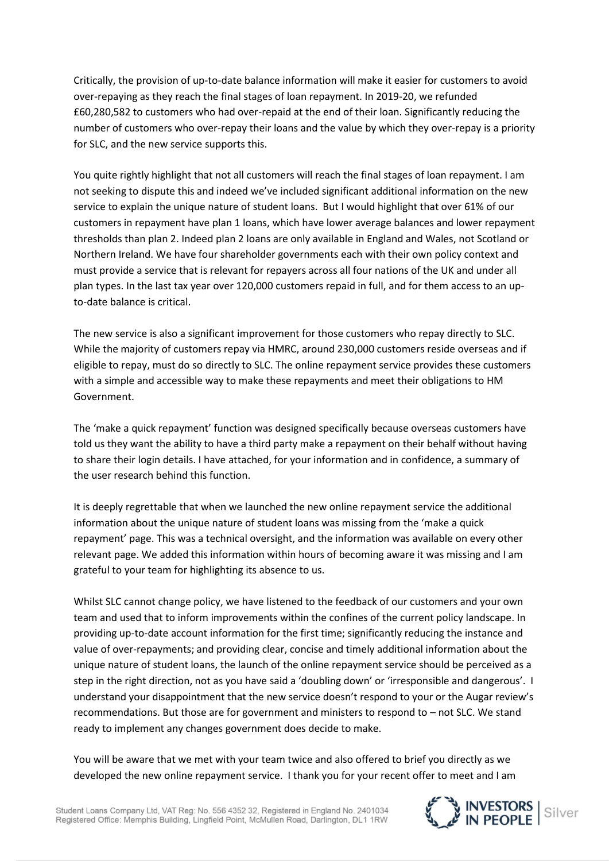Critically, the provision of up-to-date balance information will make it easier for customers to avoid over-repaying as they reach the final stages of loan repayment. In 2019-20, we refunded £60,280,582 to customers who had over-repaid at the end of their loan. Significantly reducing the number of customers who over-repay their loans and the value by which they over-repay is a priority for SLC, and the new service supports this.

You quite rightly highlight that not all customers will reach the final stages of loan repayment. I am not seeking to dispute this and indeed we've included significant additional information on the new service to explain the unique nature of student loans. But I would highlight that over 61% of our customers in repayment have plan 1 loans, which have lower average balances and lower repayment thresholds than plan 2. Indeed plan 2 loans are only available in England and Wales, not Scotland or Northern Ireland. We have four shareholder governments each with their own policy context and must provide a service that is relevant for repayers across all four nations of the UK and under all plan types. In the last tax year over 120,000 customers repaid in full, and for them access to an upto-date balance is critical.

The new service is also a significant improvement for those customers who repay directly to SLC. While the majority of customers repay via HMRC, around 230,000 customers reside overseas and if eligible to repay, must do so directly to SLC. The online repayment service provides these customers with a simple and accessible way to make these repayments and meet their obligations to HM Government.

The 'make a quick repayment' function was designed specifically because overseas customers have told us they want the ability to have a third party make a repayment on their behalf without having to share their login details. I have attached, for your information and in confidence, a summary of the user research behind this function.

It is deeply regrettable that when we launched the new online repayment service the additional information about the unique nature of student loans was missing from the 'make a quick repayment' page. This was a technical oversight, and the information was available on every other relevant page. We added this information within hours of becoming aware it was missing and I am grateful to your team for highlighting its absence to us.

Whilst SLC cannot change policy, we have listened to the feedback of our customers and your own team and used that to inform improvements within the confines of the current policy landscape. In providing up-to-date account information for the first time; significantly reducing the instance and value of over-repayments; and providing clear, concise and timely additional information about the unique nature of student loans, the launch of the online repayment service should be perceived as a step in the right direction, not as you have said a 'doubling down' or 'irresponsible and dangerous'. I understand your disappointment that the new service doesn't respond to your or the Augar review's recommendations. But those are for government and ministers to respond to – not SLC. We stand ready to implement any changes government does decide to make.

You will be aware that we met with your team twice and also offered to brief you directly as we developed the new online repayment service. I thank you for your recent offer to meet and I am

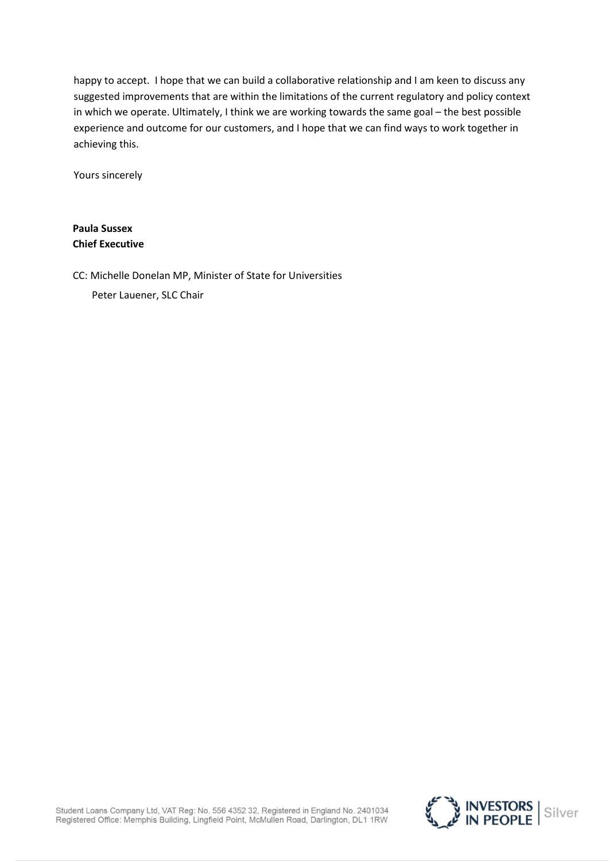happy to accept. I hope that we can build a collaborative relationship and I am keen to discuss any suggested improvements that are within the limitations of the current regulatory and policy context in which we operate. Ultimately, I think we are working towards the same goal – the best possible experience and outcome for our customers, and I hope that we can find ways to work together in achieving this.

Yours sincerely

**Paula Sussex Chief Executive** 

CC: Michelle Donelan MP, Minister of State for Universities

Peter Lauener, SLC Chair

Student Loans Company Ltd, VAT Reg: No. 556 4352 32, Registered in England No. 2401034<br>Registered Office: Memphis Building, Lingfield Point, McMullen Road, Darlington, DL1 1RW

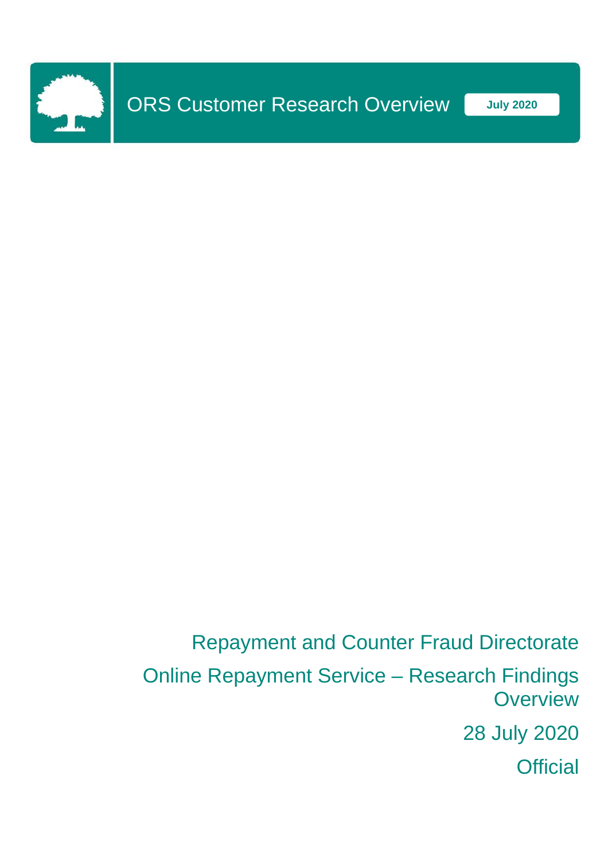

Repayment and Counter Fraud Directorate

Online Repayment Service – Research Findings **Overview** 

28 July 2020

**Official**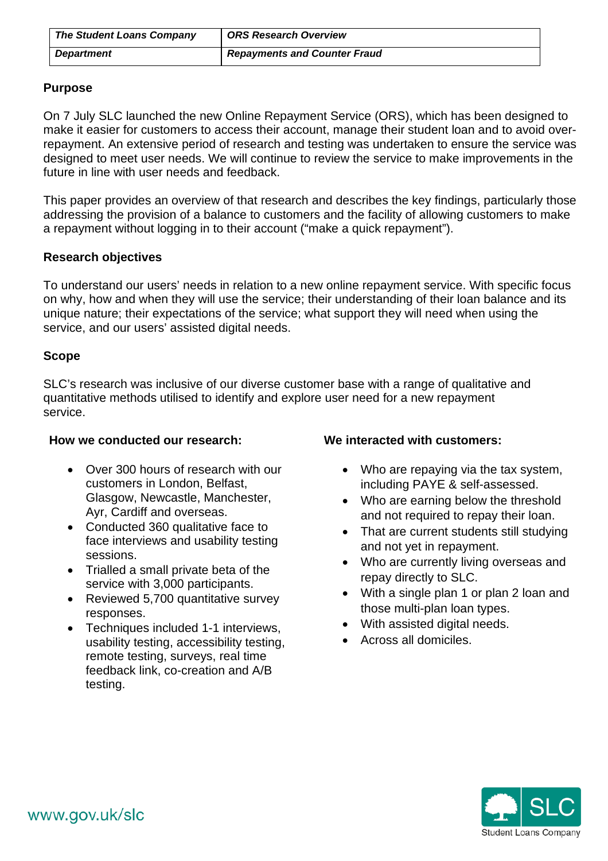| <b>The Student Loans Company</b> | <b>ORS Research Overview</b>        |
|----------------------------------|-------------------------------------|
| <b>Department</b>                | <b>Repayments and Counter Fraud</b> |

## **Purpose**

On 7 July SLC launched the new Online Repayment Service (ORS), which has been designed to make it easier for customers to access their account, manage their student loan and to avoid overrepayment. An extensive period of research and testing was undertaken to ensure the service was designed to meet user needs. We will continue to review the service to make improvements in the future in line with user needs and feedback.

This paper provides an overview of that research and describes the key findings, particularly those addressing the provision of a balance to customers and the facility of allowing customers to make a repayment without logging in to their account ("make a quick repayment").

# **Research objectives**

To understand our users' needs in relation to a new online repayment service. With specific focus on why, how and when they will use the service; their understanding of their loan balance and its unique nature; their expectations of the service; what support they will need when using the service, and our users' assisted digital needs.

# **Scope**

SLC's research was inclusive of our diverse customer base with a range of qualitative and quantitative methods utilised to identify and explore user need for a new repayment service.

## **How we conducted our research:**

- Over 300 hours of research with our customers in London, Belfast, Glasgow, Newcastle, Manchester, Ayr, Cardiff and overseas.
- Conducted 360 qualitative face to face interviews and usability testing sessions.
- Trialled a small private beta of the service with 3,000 participants.
- Reviewed 5,700 quantitative survey responses.
- Techniques included 1-1 interviews, usability testing, accessibility testing, remote testing, surveys, real time feedback link, co-creation and A/B testing.

# **We interacted with customers:**

- Who are repaying via the tax system, including PAYE & self-assessed.
- Who are earning below the threshold and not required to repay their loan.
- That are current students still studying and not yet in repayment.
- Who are currently living overseas and repay directly to SLC.
- With a single plan 1 or plan 2 loan and those multi-plan loan types.
- With assisted digital needs.
- Across all domiciles.

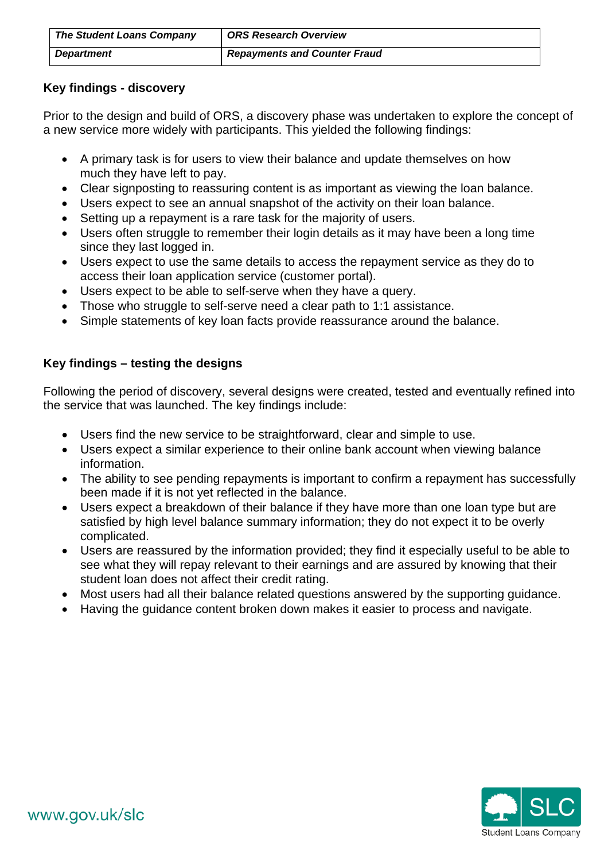| <b>The Student Loans Company</b> | <b>ORS Research Overview</b>        |
|----------------------------------|-------------------------------------|
| <b>Department</b>                | <b>Repayments and Counter Fraud</b> |

# **Key findings - discovery**

Prior to the design and build of ORS, a discovery phase was undertaken to explore the concept of a new service more widely with participants. This yielded the following findings:

- A primary task is for users to view their balance and update themselves on how much they have left to pay.
- Clear signposting to reassuring content is as important as viewing the loan balance.
- Users expect to see an annual snapshot of the activity on their loan balance.
- Setting up a repayment is a rare task for the majority of users.
- Users often struggle to remember their login details as it may have been a long time since they last logged in.
- Users expect to use the same details to access the repayment service as they do to access their loan application service (customer portal).
- Users expect to be able to self-serve when they have a query.
- Those who struggle to self-serve need a clear path to 1:1 assistance.
- Simple statements of key loan facts provide reassurance around the balance.

# **Key findings – testing the designs**

Following the period of discovery, several designs were created, tested and eventually refined into the service that was launched. The key findings include:

- Users find the new service to be straightforward, clear and simple to use.
- Users expect a similar experience to their online bank account when viewing balance information.
- The ability to see pending repayments is important to confirm a repayment has successfully been made if it is not yet reflected in the balance.
- Users expect a breakdown of their balance if they have more than one loan type but are satisfied by high level balance summary information; they do not expect it to be overly complicated.
- Users are reassured by the information provided; they find it especially useful to be able to see what they will repay relevant to their earnings and are assured by knowing that their student loan does not affect their credit rating.
- Most users had all their balance related questions answered by the supporting guidance.
- Having the guidance content broken down makes it easier to process and navigate.